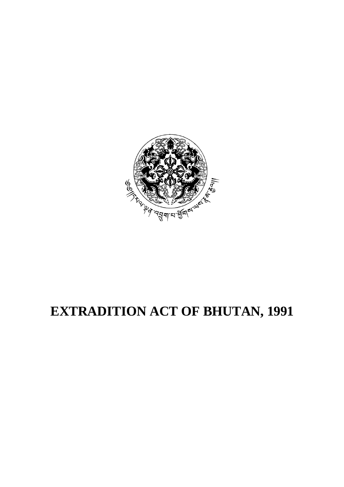

# **EXTRADITION ACT OF BHUTAN, 1991**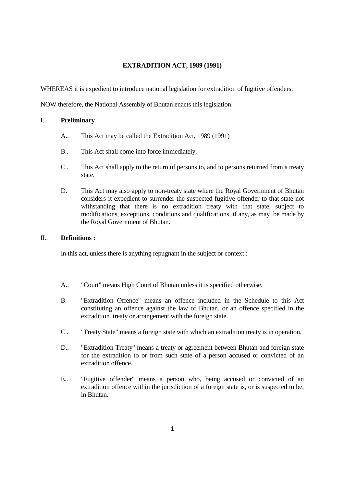# **EXTRADITION ACT, 1989 (1991)**

WHEREAS it is expedient to introduce national legislation for extradition of fugitive offenders;

NOW therefore, the National Assembly of Bhutan enacts this legislation.

# I.. **Preliminary**

- A.. This Act may be called the Extradition Act, 1989 (1991)
- B.. This Act shall come into force immediately.
- C.. This Act shall apply to the return of persons to, and to persons returned from a treaty state.
- D. This Act may also apply to non-treaty state where the Royal Government of Bhutan considers it expedient to surrender the suspected fugitive offender to that state not withstanding that there is no extradition treaty with that state, subject to modifications, exceptions, conditions and qualifications, if any, as may be made by the Royal Government of Bhutan.

# II.. **Definitions :**

In this act, unless there is anything repugnant in the subject or context :

- A.. "Court" means High Court of Bhutan unless it is specified otherwise.
- B. "Extradition Offence" means an offence included in the Schedule to this Act constituting an offence against the law of Bhutan, or an offence specified in the extradition treaty or arrangement with the foreign state.
- C.. "Treaty State" means a foreign state with which an extradition treaty is in operation.
- D.. "Extradition Treaty" means a treaty or agreement between Bhutan and foreign state for the extradition to or from such state of a person accused or convicted of an extradition offence.
- E.. "Fugitive offender" means a person who, being accused or convicted of an extradition offence within the jurisdiction of a foreign state is, or is suspected to be, in Bhutan.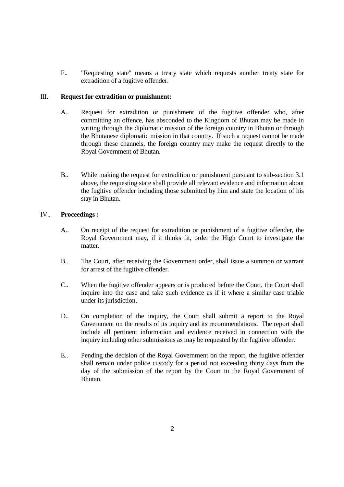F.. "Requesting state" means a treaty state which requests another treaty state for extradition of a fugitive offender.

## III.. **Request for extradition or punishment:**

- A.. Request for extradition or punishment of the fugitive offender who, after committing an offence, has absconded to the Kingdom of Bhutan may be made in writing through the diplomatic mission of the foreign country in Bhutan or through the Bhutanese diplomatic mission in that country. If such a request cannot be made through these channels, the foreign country may make the request directly to the Royal Government of Bhutan.
- B.. While making the request for extradition or punishment pursuant to sub-section 3.1 above, the requesting state shall provide all relevant evidence and information about the fugitive offender including those submitted by him and state the location of his stay in Bhutan.

#### IV.. **Proceedings :**

- A.. On receipt of the request for extradition or punishment of a fugitive offender, the Royal Government may, if it thinks fit, order the High Court to investigate the matter.
- B.. The Court, after receiving the Government order, shall issue a summon or warrant for arrest of the fugitive offender.
- C.. When the fugitive offender appears or is produced before the Court, the Court shall inquire into the case and take such evidence as if it where a similar case triable under its jurisdiction.
- D.. On completion of the inquiry, the Court shall submit a report to the Royal Government on the results of its inquiry and its recommendations. The report shall include all pertinent information and evidence received in connection with the inquiry including other submissions as may be requested by the fugitive offender.
- E.. Pending the decision of the Royal Government on the report, the fugitive offender shall remain under police custody for a period not exceeding thirty days from the day of the submission of the report by the Court to the Royal Government of Bhutan.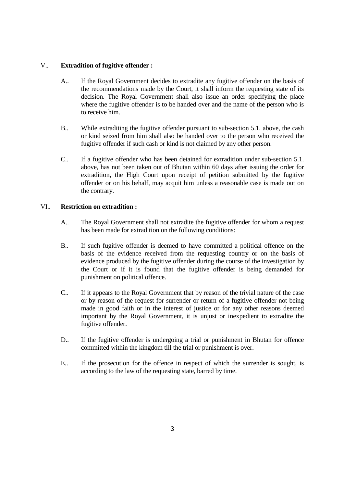## V.. **Extradition of fugitive offender :**

- A.. If the Royal Government decides to extradite any fugitive offender on the basis of the recommendations made by the Court, it shall inform the requesting state of its decision. The Royal Government shall also issue an order specifying the place where the fugitive offender is to be handed over and the name of the person who is to receive him.
- B.. While extraditing the fugitive offender pursuant to sub-section 5.1. above, the cash or kind seized from him shall also be handed over to the person who received the fugitive offender if such cash or kind is not claimed by any other person.
- C.. If a fugitive offender who has been detained for extradition under sub-section 5.1. above, has not been taken out of Bhutan within 60 days after issuing the order for extradition, the High Court upon receipt of petition submitted by the fugitive offender or on his behalf, may acquit him unless a reasonable case is made out on the contrary.

#### VI.. **Restriction on extradition :**

- A.. The Royal Government shall not extradite the fugitive offender for whom a request has been made for extradition on the following conditions:
- B.. If such fugitive offender is deemed to have committed a political offence on the basis of the evidence received from the requesting country or on the basis of evidence produced by the fugitive offender during the course of the investigation by the Court or if it is found that the fugitive offender is being demanded for punishment on political offence.
- C.. If it appears to the Royal Government that by reason of the trivial nature of the case or by reason of the request for surrender or return of a fugitive offender not being made in good faith or in the interest of justice or for any other reasons deemed important by the Royal Government, it is unjust or inexpedient to extradite the fugitive offender.
- D.. If the fugitive offender is undergoing a trial or punishment in Bhutan for offence committed within the kingdom till the trial or punishment is over.
- E.. If the prosecution for the offence in respect of which the surrender is sought, is according to the law of the requesting state, barred by time.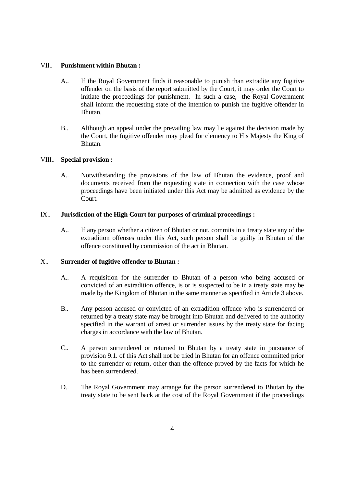#### VII.. **Punishment within Bhutan :**

- A.. If the Royal Government finds it reasonable to punish than extradite any fugitive offender on the basis of the report submitted by the Court, it may order the Court to initiate the proceedings for punishment. In such a case, the Royal Government shall inform the requesting state of the intention to punish the fugitive offender in Bhutan.
- B.. Although an appeal under the prevailing law may lie against the decision made by the Court, the fugitive offender may plead for clemency to His Majesty the King of Bhutan.

#### VIII.. **Special provision :**

 A.. Notwithstanding the provisions of the law of Bhutan the evidence, proof and documents received from the requesting state in connection with the case whose proceedings have been initiated under this Act may be admitted as evidence by the Court.

#### IX.. **Jurisdiction of the High Court for purposes of criminal proceedings :**

 A.. If any person whether a citizen of Bhutan or not, commits in a treaty state any of the extradition offenses under this Act, such person shall be guilty in Bhutan of the offence constituted by commission of the act in Bhutan.

# X.. **Surrender of fugitive offender to Bhutan :**

- A.. A requisition for the surrender to Bhutan of a person who being accused or convicted of an extradition offence, is or is suspected to be in a treaty state may be made by the Kingdom of Bhutan in the same manner as specified in Article 3 above.
- B.. Any person accused or convicted of an extradition offence who is surrendered or returned by a treaty state may be brought into Bhutan and delivered to the authority specified in the warrant of arrest or surrender issues by the treaty state for facing charges in accordance with the law of Bhutan.
- C.. A person surrendered or returned to Bhutan by a treaty state in pursuance of provision 9.1. of this Act shall not be tried in Bhutan for an offence committed prior to the surrender or return, other than the offence proved by the facts for which he has been surrendered.
- D.. The Royal Government may arrange for the person surrendered to Bhutan by the treaty state to be sent back at the cost of the Royal Government if the proceedings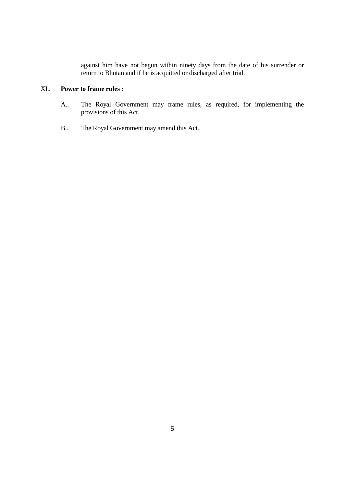against him have not begun within ninety days from the date of his surrender or return to Bhutan and if he is acquitted or discharged after trial.

# XI.. **Power to frame rules :**

- A.. The Royal Government may frame rules, as required, for implementing the provisions of this Act.
- B.. The Royal Government may amend this Act.